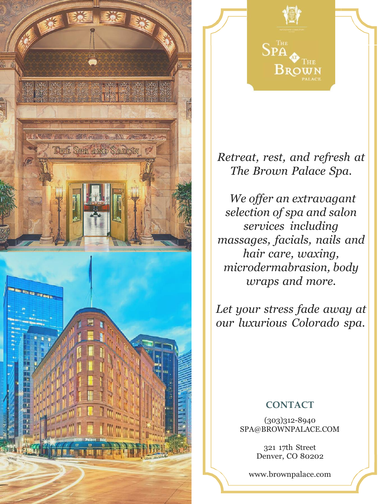



*Retreat, rest, and refresh at The Brown Palace Spa.*

*We offer an extravagant selection of spa and salon services including massages, facials, nails and hair care, waxing, microdermabrasion, body wraps and more.*

*Let your stress fade away at our luxurious Colorado spa.*

## **CONTACT**

(303)312-8940 [SPA@BROWNPALACE.COM](mailto:SPA@BROWNPALACE.COM)

> 321 17th Street Denver, CO 80202

[www.brownpalace.com](http://www.brownpalace.com/)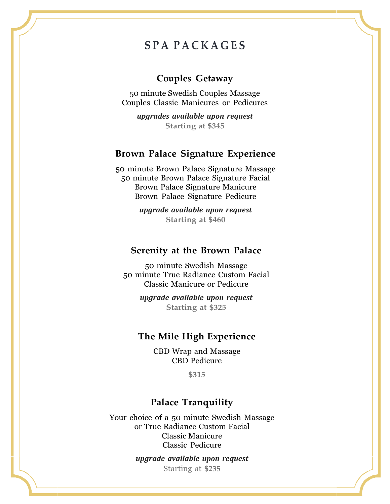# **S P A P A C K A G E S**

### **Couples Getaway**

50 minute Swedish Couples Massage Couples Classic Manicures or Pedicures

*upgrades available upon request* **Starting at \$345**

#### **Brown Palace Signature Experience**

50 minute Brown Palace Signature Massage 50 minute Brown Palace Signature Facial Brown Palace Signature Manicure Brown Palace Signature Pedicure

> *upgrade available upon request* **Starting at \$460**

#### **Serenity at the Brown Palace**

50 minute Swedish Massage 50 minute True Radiance Custom Facial Classic Manicure or Pedicure

> *upgrade available upon request* **Starting at \$325**

#### **The Mile High Experience**

CBD Wrap and Massage CBD Pedicure

**\$315**

#### **Palace Tranquility**

Your choice of a 50 minute Swedish Massage or True Radiance Custom Facial Classic Manicure Classic Pedicure

> *upgrade available upon request* Starting at **\$235**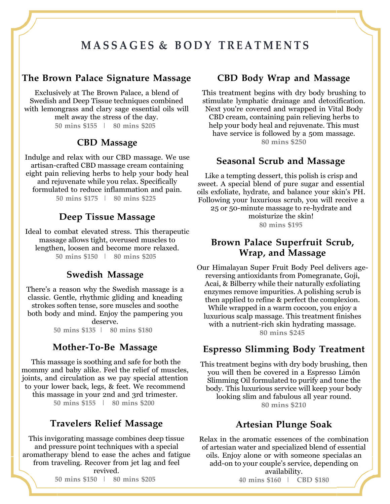# **M A S S A G E S & B O D Y T R E A T M E N T S**

## **The Brown Palace Signature Massage**

Exclusively at The Brown Palace, a blend of Swedish and Deep Tissue techniques combined with lemongrass and clary sage essential oils will melt away the stress of the day. **50 mins \$155 | 80 mins \$205**

#### **CBD Massage**

Indulge and relax with our CBD massage. We use artisan-crafted CBD massage cream containing eight pain relieving herbs to help your body heal and rejuvenate while you relax. Specifically formulated to reduce inflammation and pain. **50 mins \$175 | 80 mins \$225**

#### **Deep Tissue Massage**

Ideal to combat elevated stress. This therapeutic massage allows tight, overused muscles to lengthen, loosen and become more relaxed. **50 mins \$150 | 80 mins \$205**

#### **Swedish Massage**

There's a reason why the Swedish massage is a classic. Gentle, rhythmic gliding and kneading strokes soften tense, sore muscles and soothe both body and mind. Enjoy the pampering you deserve.

**50 mins \$135 | 80 mins \$180**

#### **Mother-To-Be Massage**

This massage is soothing and safe for both the mommy and baby alike. Feel the relief of muscles, joints, and circulation as we pay special attention to your lower back, legs, & feet. We recommend this massage in your 2nd and 3rd trimester. **50 mins \$155 | 80 mins \$200**

#### **Travelers Relief Massage**

This invigorating massage combines deep tissue and pressure point techniques with a special aromatherapy blend to ease the aches and fatigue from traveling. Recover from jet lag and feel revived.

**50 mins \$150 | 80 mins \$205**

#### **CBD Body Wrap and Massage**

This treatment begins with dry body brushing to stimulate lymphatic drainage and detoxification. Next you're covered and wrapped in Vital Body CBD cream, containing pain relieving herbs to help your body heal and rejuvenate. This must have service is followed by a 50m massage. **80 mins \$250**

#### **Seasonal Scrub and Massage**

Like a tempting dessert, this polish is crisp and sweet. A special blend of pure sugar and essential oils exfoliate, hydrate, and balance your skin's PH. Following your luxurious scrub, you will receive a 25 or 50-minute massage to re-hydrate and moisturize the skin! **80 mins \$195**

## **Brown Palace Superfruit Scrub, Wrap, and Massage**

Our Himalayan Super Fruit Body Peel delivers agereversing antioxidants from Pomegranate, Goji, Acai, & Bilberry while their naturally exfoliating enzymes remove impurities. A polishing scrub is then applied to refine & perfect the complexion. While wrapped in a warm cocoon, you enjoy a luxurious scalp massage. This treatment finishes with a nutrient-rich skin hydrating massage. **80 mins \$245**

#### **Espresso Slimming Body Treatment**

This treatment begins with dry body brushing, then you will then be covered in a Espresso Limón Slimming Oil formulated to purify and tone the body. This luxurious service will keep your body looking slim and fabulous all year round. **80 mins \$210**

#### **Artesian Plunge Soak**

Relax in the aromatic essences of the combination of artesian water and specialized blend of essential oils. Enjoy alone or with someone specialas an add-on to your couple's service, depending on availability.

**40 mins \$160 | CBD \$180**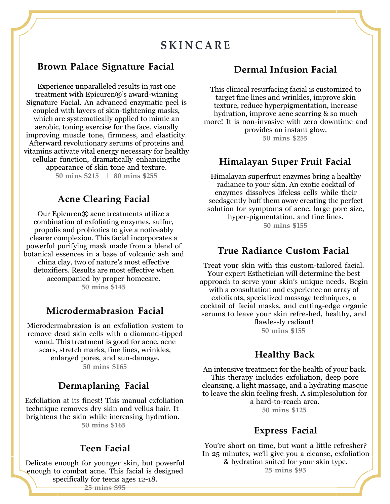## **S K I N C A R E**

## **Brown Palace Signature Facial Dermal Infusion Facial**

Experience unparalleled results in just one treatment with Epicuren®'s award-winning Signature Facial. An advanced enzymatic peel is coupled with layers of skin-tightening masks, which are systematically applied to mimic an aerobic, toning exercise for the face, visually improving muscle tone, firmness, and elasticity. Afterward revolutionary serums of proteins and vitamins activate vital energy necessary for healthy cellular function, dramatically enhancingthe appearance of skin tone and texture. **50 mins \$215 | 80 mins \$255**

## **Acne Clearing Facial**

Our Epicuren® acne treatments utilize a combination of exfoliating enzymes, sulfur, propolis and probiotics to give a noticeably clearer complexion. This facial incorporates a powerful purifying mask made from a blend of botanical essences in a base of volcanic ash and china clay, two of nature's most effective detoxifiers. Results are most effective when accompanied by proper homecare. **50 mins \$145**

#### **Microdermabrasion Facial**

Microdermabrasion is an exfoliation system to remove dead skin cells with a diamond-tipped wand. This treatment is good for acne, acne scars, stretch marks, fine lines, wrinkles, enlarged pores, and sun-damage. **50 mins \$165**

#### **Dermaplaning Facial**

Exfoliation at its finest! This manual exfoliation technique removes dry skin and vellus hair. It brightens the skin while increasing hydration. **50 mins \$165**

#### **Teen Facial**

Delicate enough for younger skin, but powerful enough to combat acne. This facial is designed specifically for teens ages 12-18.

This clinical resurfacing facial is customized to target fine lines and wrinkles, improve skin texture, reduce hyperpigmentation, increase hydration, improve acne scarring & so much more! It is non-invasive with zero downtime and provides an instant glow. **50 mins \$255**

#### **Himalayan Super Fruit Facial**

Himalayan superfruit enzymes bring a healthy radiance to your skin. An exotic cocktail of enzymes dissolves lifeless cells while their seedsgently buff them away creating the perfect solution for symptoms of acne, large pore size, hyper-pigmentation, and fine lines. **50 mins \$155**

#### **True Radiance Custom Facial**

Treat your skin with this custom-tailored facial. Your expert Esthetician will determine the best approach to serve your skin's unique needs. Begin with a consultation and experience an array of exfoliants, specialized massage techniques, a cocktail of facial masks, and cutting-edge organic serums to leave your skin refreshed, healthy, and flawlessly radiant! **50 mins \$155**

## **Healthy Back**

An intensive treatment for the health of your back. This therapy includes exfoliation, deep pore cleansing, a light massage, and a hydrating masque to leave the skin feeling fresh. A simplesolution for a hard-to-reach area. **50 mins \$125**

#### **Express Facial**

You're short on time, but want a little refresher? In 25 minutes, we'll give you a cleanse, exfoliation & hydration suited for your skin type. **25 mins \$95**

**25 mins \$95**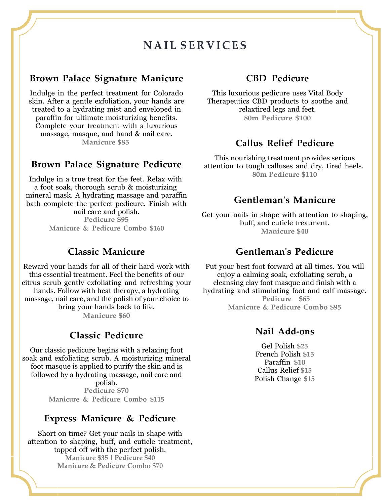## **N A I L S E R V I C ES**

#### **Brown Palace Signature Manicure**

Indulge in the perfect treatment for Colorado skin. After a gentle exfoliation, your hands are treated to a hydrating mist and enveloped in paraffin for ultimate moisturizing benefits. Complete your treatment with a luxurious massage, masque, and hand & nail care. **Manicure \$85**

#### **Brown Palace Signature Pedicure**

Indulge in a true treat for the feet. Relax with a foot soak, thorough scrub & moisturizing mineral mask. A hydrating massage and paraffin bath complete the perfect pedicure. Finish with nail care and polish.

**Pedicure \$95 Manicure & Pedicure Combo \$160**

### **Classic Manicure**

Reward your hands for all of their hard work with this essential treatment. Feel the benefits of our citrus scrub gently exfoliating and refreshing your hands. Follow with heat therapy, a hydrating massage, nail care, and the polish of your choice to bring your hands back to life. **Manicure \$60**

#### **Classic Pedicure**

Our classic pedicure begins with a relaxing foot soak and exfoliating scrub. A moisturizing mineral foot masque is applied to purify the skin and is followed by a hydrating massage, nail care and polish. **Pedicure \$70 Manicure & Pedicure Combo \$115**

#### **Express Manicure & Pedicure**

Short on time? Get your nails in shape with attention to shaping, buff, and cuticle treatment, topped off with the perfect polish. **Manicure \$35 | Pedicure \$40 Manicure & Pedicure Combo \$70**

#### **CBD Pedicure**

This luxurious pedicure uses Vital Body Therapeutics CBD products to soothe and relaxtired legs and feet. **80m Pedicure \$100**

#### **Callus Relief Pedicure**

This nourishing treatment provides serious attention to tough calluses and dry, tired heels. **80m Pedicure \$110**

#### **Gentleman's Manicure**

Get your nails in shape with attention to shaping, buff, and cuticle treatment. **Manicure \$40**

#### **Gentleman's Pedicure**

Put your best foot forward at all times. You will enjoy a calming soak, exfoliating scrub, a cleansing clay foot masque and finish with a hydrating and stimulating foot and calf massage. **Pedicure \$65 Manicure & Pedicure Combo \$95**

#### **Nail Add-ons**

Gel Polish **\$25** French Polish **\$15** Paraffin **\$10** Callus Relief **\$15** Polish Change **\$15**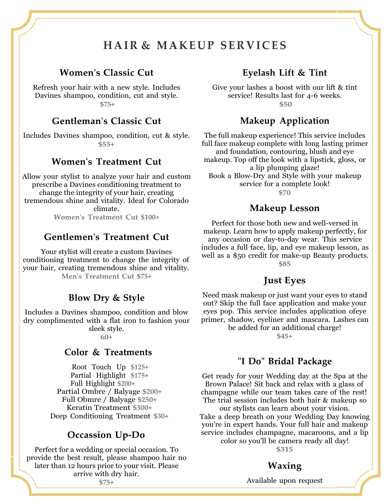# **H A I R & MA KE U P SE R V I C ES**

#### **Women's Classic Cut**

Refresh your hair with a new style. Includes Davines shampoo, condition, cut and style. **\$75+**

#### **Gentleman's Classic Cut**

Includes Davines shampoo, condition, cut & style. **\$55+**

## **Women's Treatment Cut**

Allow your stylist to analyze your hair and custom prescribe a Davines conditioning treatment to change the integrity of your hair, creating tremendous shine and vitality. Ideal for Colorado climate.

**Women's Treatment Cut \$100+**

#### **Gentlemen's Treatment Cut**

Your stylist will create a custom Davines conditioning treatment to change the integrity of your hair, creating tremendous shine and vitality. **Men's Treatment Cut \$75+**

#### **Blow Dry & Style**

Includes a Davines shampoo, condition and blow dry complimented with a flat iron to fashion your sleek style.

**60+**

#### **Color & Treatments**

Root Touch Up **\$125+** Partial Highlight **\$175+** Full Highlight **\$200+** Partial Ombre / Balyage **\$200+** Full Obmre / Balyage **\$250+** Keratin Treatment **\$300+** Deep Conditioning Treatment **\$30+**

#### **Occassion Up-Do**

Perfect for a wedding or special occasion. To provide the best result, please shampoo hair no later than 12 hours prior to your visit. Please arrive with dry hair.

**\$75+**

## **Eyelash Lift & Tint**

Give your lashes a boost with our lift & tint service! Results last for 4-6 weeks. **\$50**

#### **Makeup Application**

The full makeup experience! This service includes full face makeup complete with long lasting primer and foundation, contouring, blush and eye makeup. Top off the look with a lipstick, gloss, or a lip plumping glaze! Book a Blow-Dry and Style with your makeup service for a complete look! **\$70**

#### **Makeup Lesson**

Perfect for those both new and well-versed in makeup. Learn how to apply makeup perfectly, for any occasion or day-to-day wear. This service includes a full face, lip, and eye makeup lesson, as well as a \$50 credit for make-up Beauty products. **\$85**

#### **Just Eyes**

Need mask makeup or just want your eyes to stand out? Skip the full face application and make your eyes pop. This service includes application ofeye primer, shadow, eyeliner and mascara. Lashes can be added for an additional charge!

**\$45+**

#### **"I Do" Bridal Package**

Get ready for your Wedding day at the Spa at the Brown Palace! Sit back and relax with a glass of champagne while our team takes care of the rest! The trial session includes both hair & makeup so

our stylists can learn about your vision. Take a deep breath on your Wedding Day knowing you're in expert hands. Your full hair and makeup service includes champagne, macaroons, and a lip

color so you'll be camera ready all day!

**\$315**

#### **Waxing**

Available upon request